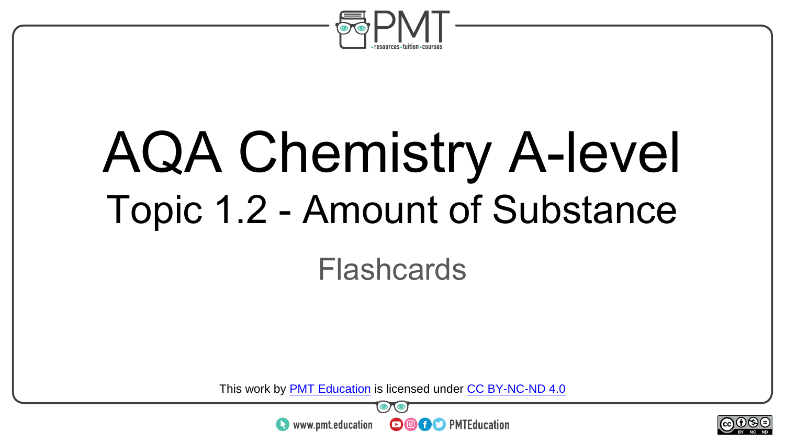

## AQA Chemistry A-level Topic 1.2 - Amount of Substance

#### Flashcards

This work by <u>PMT Education</u> is licensed under CC BY-NC-ND 4.0<br>
www.pmt.education **in the CO CO** PMTEducation



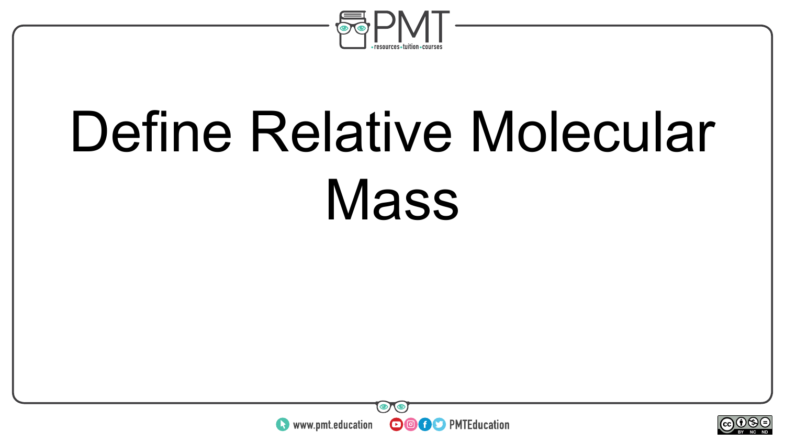

## Define Relative Molecular **Mass**



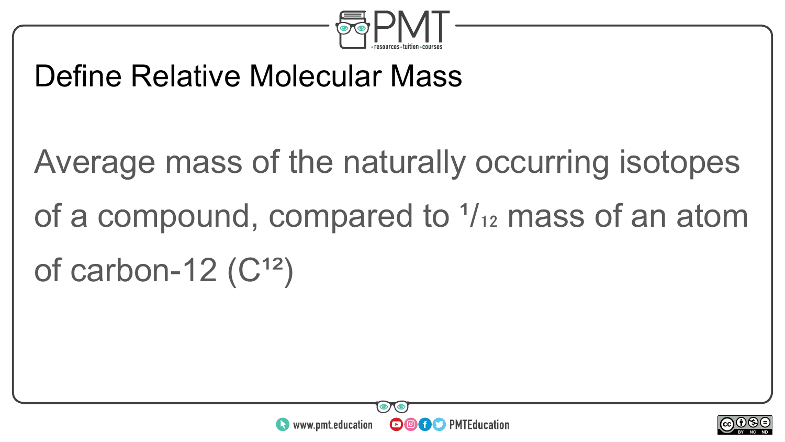

#### Define Relative Molecular Mass

### Average mass of the naturally occurring isotopes of a compound, compared to  $\frac{1}{12}$  mass of an atom of carbon-12 $(C^{12})$



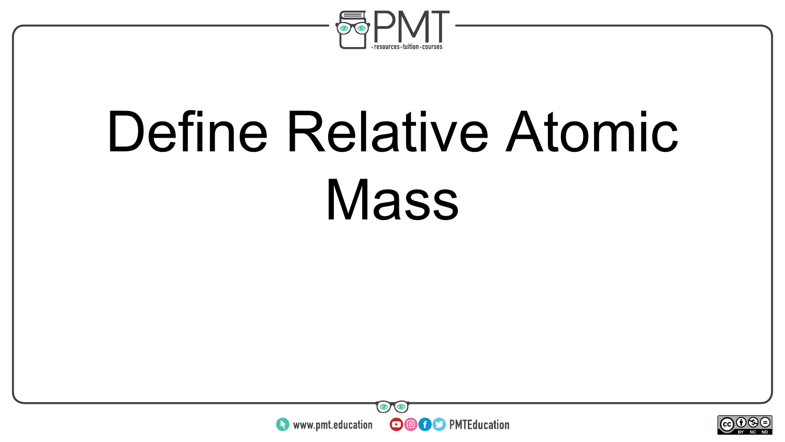

## Define Relative Atomic **Mass**



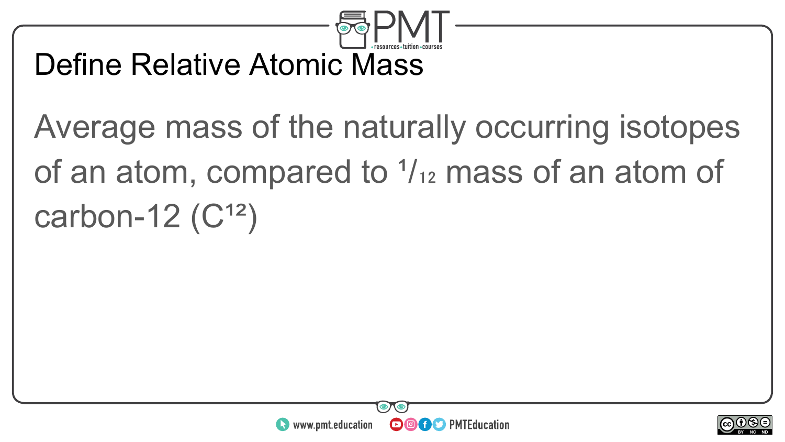

#### Define Relative Atomic Mass

### Average mass of the naturally occurring isotopes of an atom, compared to  $\frac{1}{12}$  mass of an atom of carbon-12 $(C^{12})$



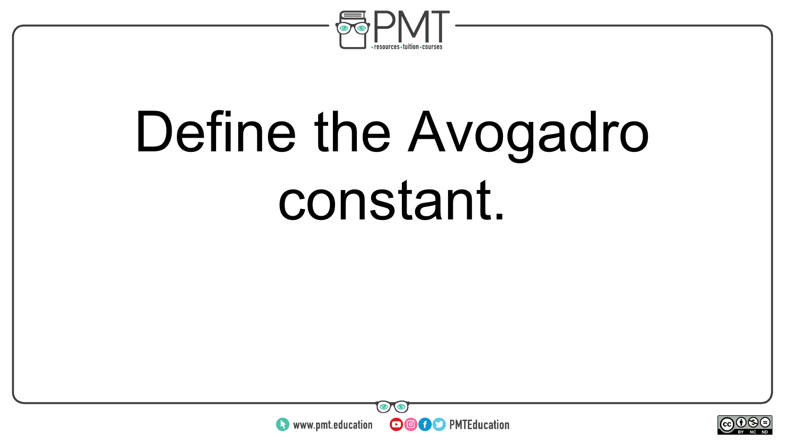

## Define the Avogadro constant.



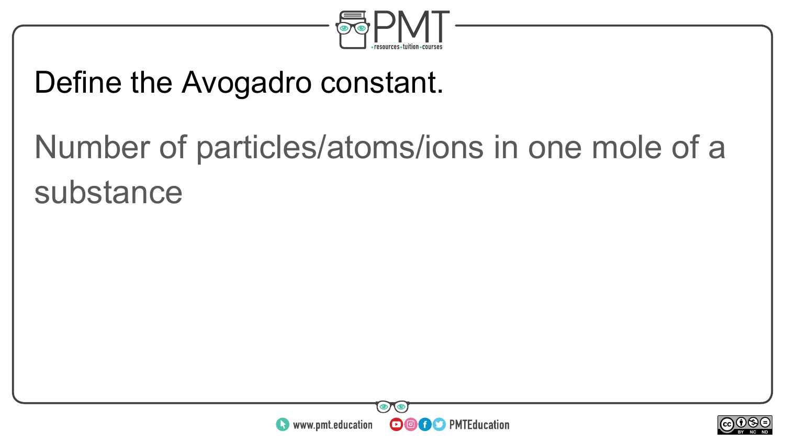

#### Define the Avogadro constant.

### Number of particles/atoms/ions in one mole of a substance



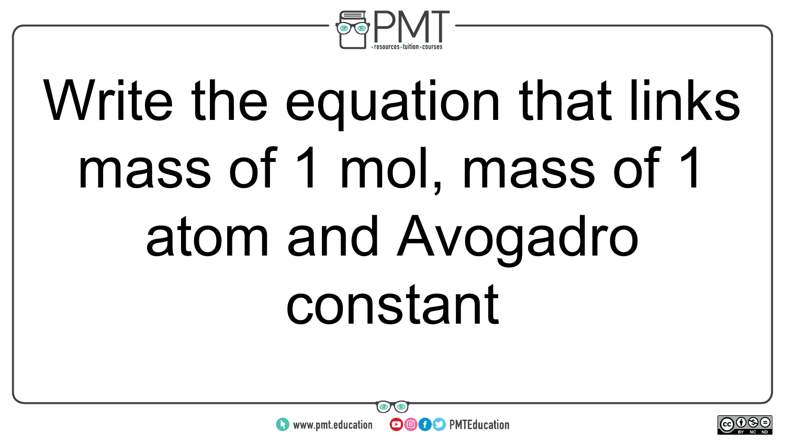

# Write the equation that links mass of 1 mol, mass of 1 atom and Avogadro constant



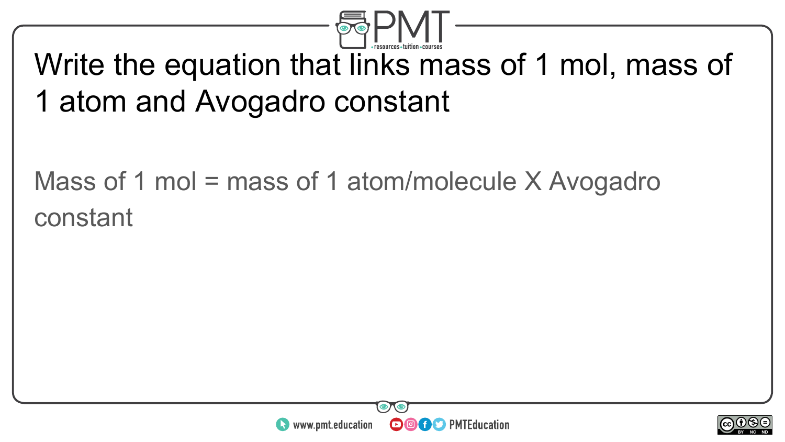

#### Write the equation that links mass of 1 mol, mass of 1 atom and Avogadro constant

#### Mass of 1 mol = mass of 1 atom/molecule X Avogadro constant



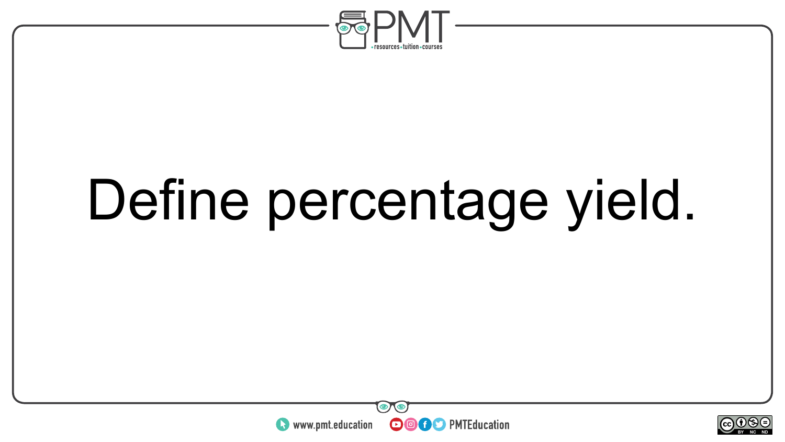

## Define percentage yield.



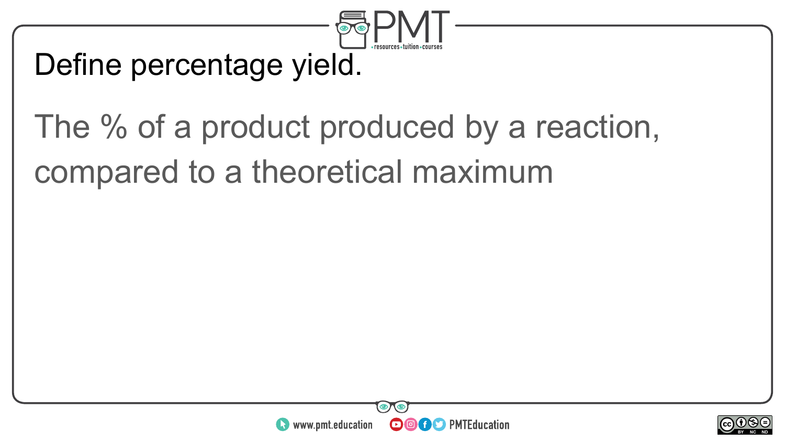

#### Define percentage yield.

### The % of a product produced by a reaction, compared to a theoretical maximum



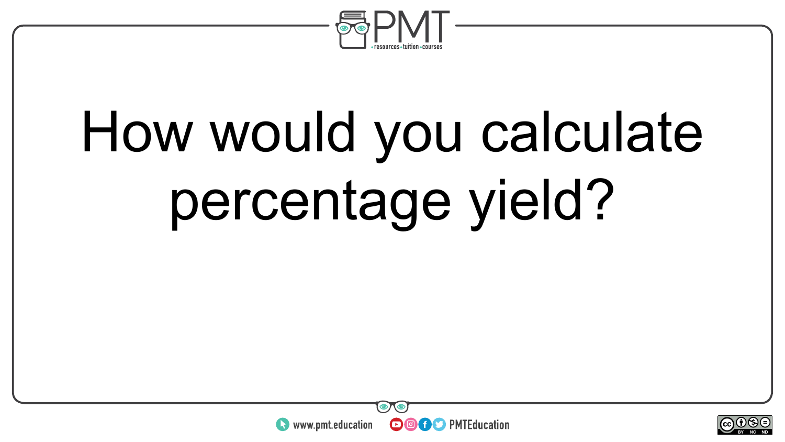

# How would you calculate percentage yield?



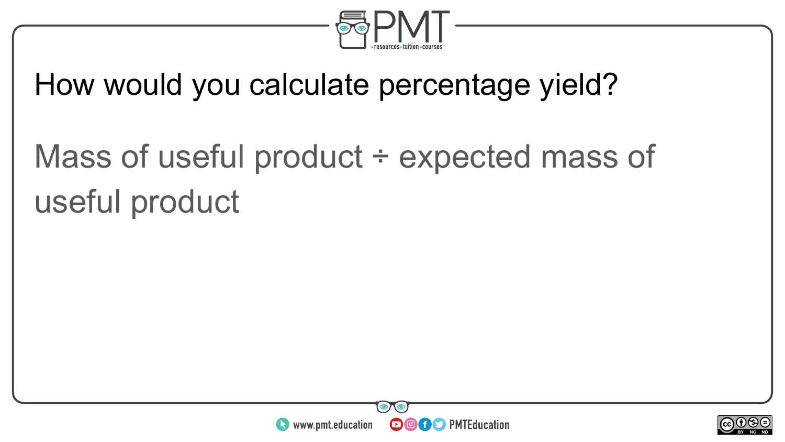

#### How would you calculate percentage yield?

### Mass of useful product ÷ expected mass of useful product



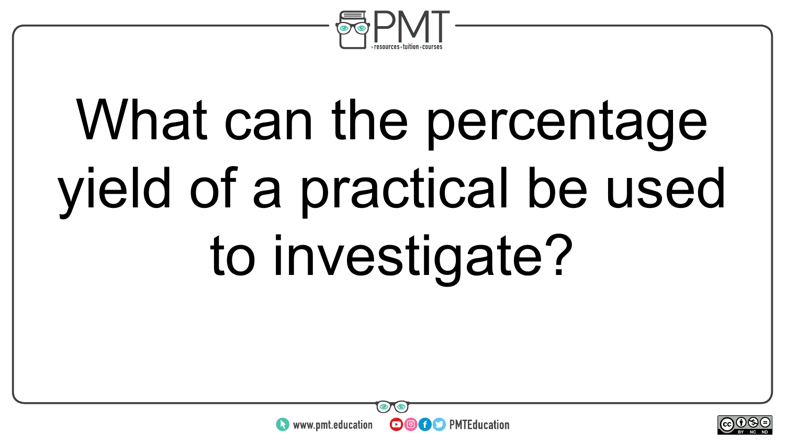

# What can the percentage yield of a practical be used to investigate?



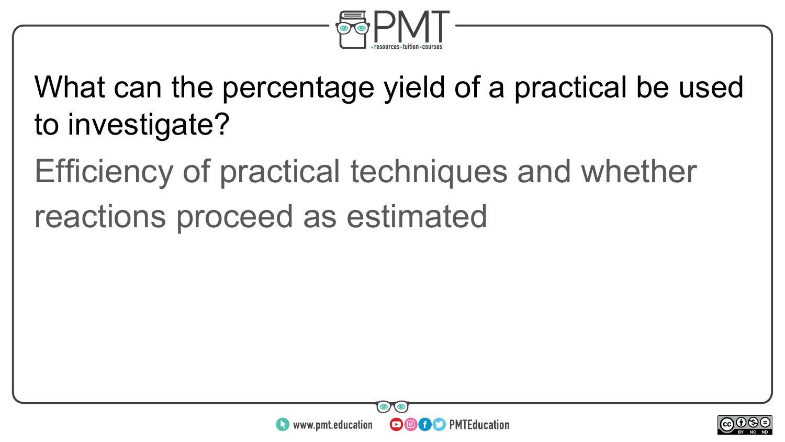

What can the percentage yield of a practical be used to investigate?

Efficiency of practical techniques and whether

reactions proceed as estimated



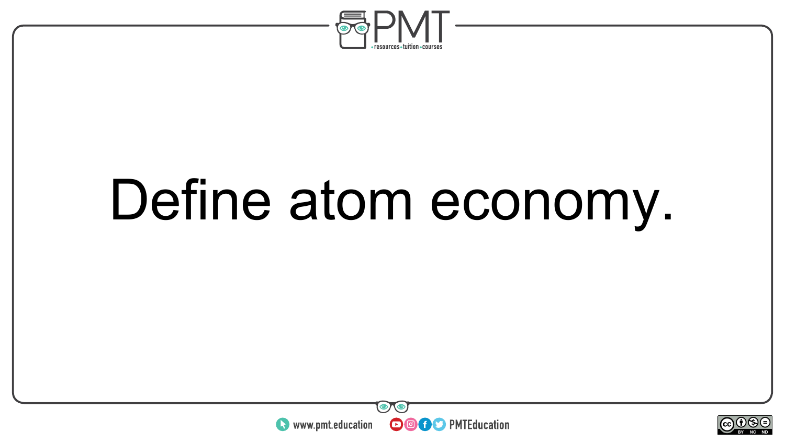

## Define atom economy.



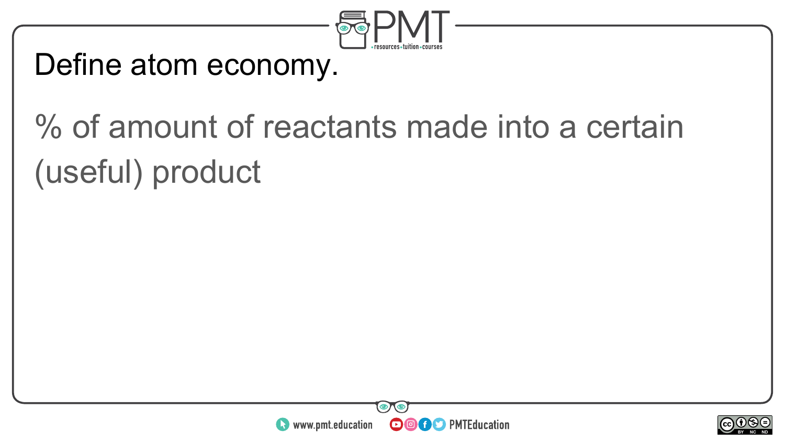

#### Define atom economy.

### % of amount of reactants made into a certain (useful) product



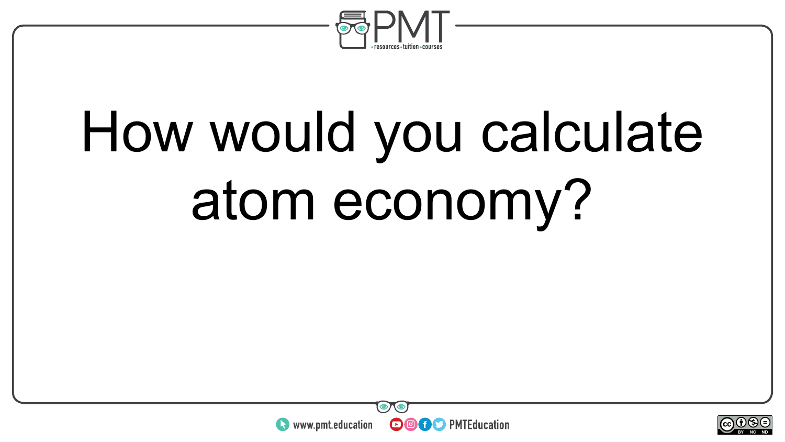

# How would you calculate atom economy?



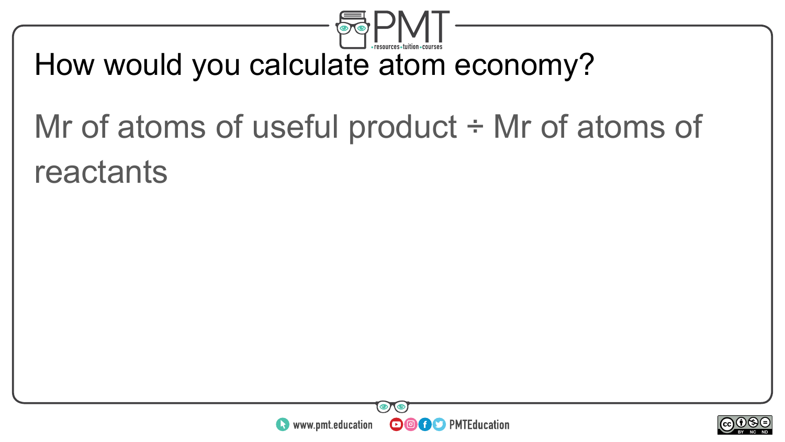

#### How would you calculate atom economy?

### Mr of atoms of useful product ÷ Mr of atoms of reactants



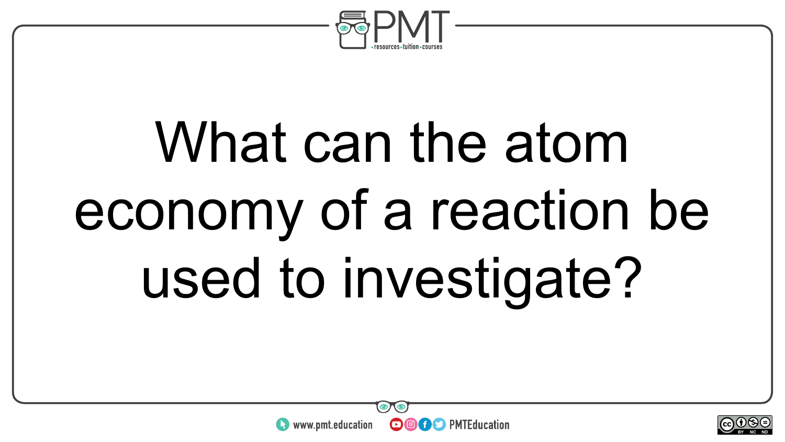

# What can the atom economy of a reaction be used to investigate?

**OOOO** PMTEducation



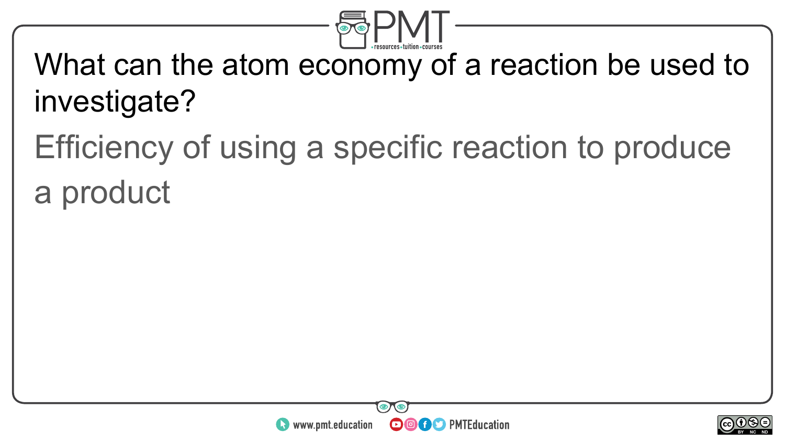

What can the atom economy of a reaction be used to investigate?

Efficiency of using a specific reaction to produce a product



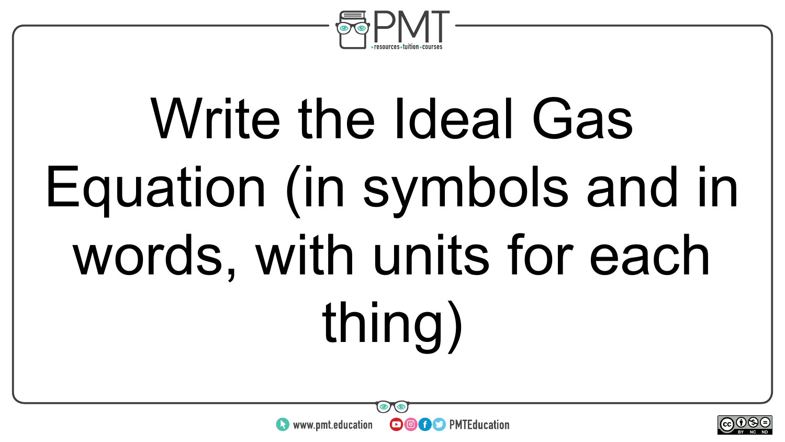

# Write the Ideal Gas Equation (in symbols and in words, with units for each thing)



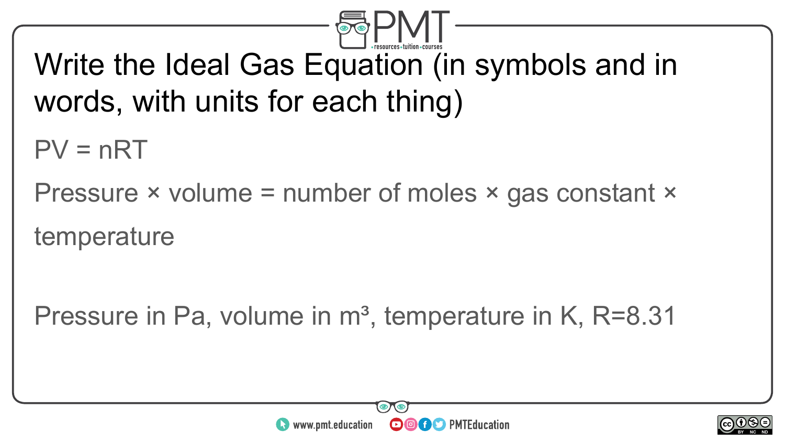

#### Write the Ideal Gas Equation (in symbols and in words, with units for each thing)

 $PV = nRT$ 

Pressure × volume = number of moles × gas constant ×

temperature

Pressure in Pa, volume in  $m<sup>3</sup>$ , temperature in K, R=8.31



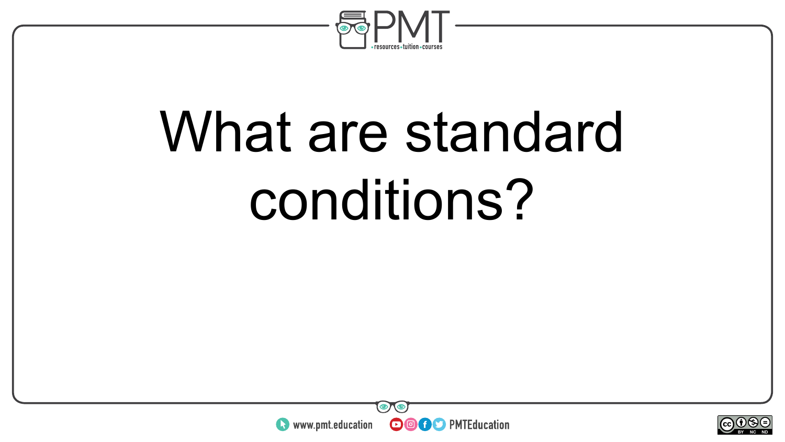

## What are standard conditions?



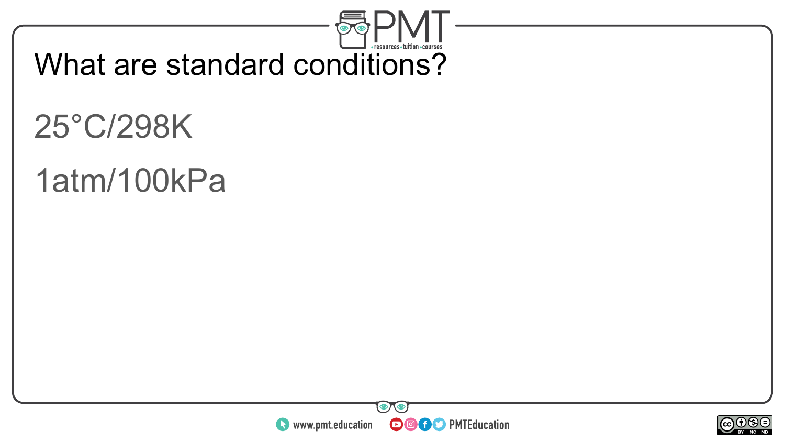

What are standard conditions?

### 25°C/298K

#### 1atm/100kPa



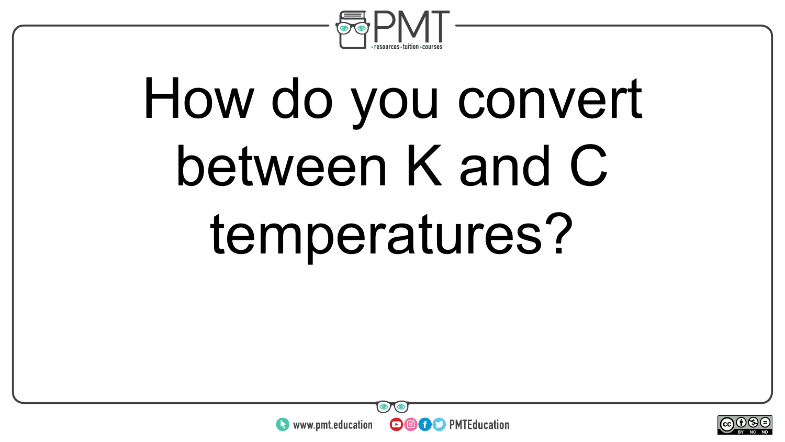

# How do you convert between K and C temperatures?



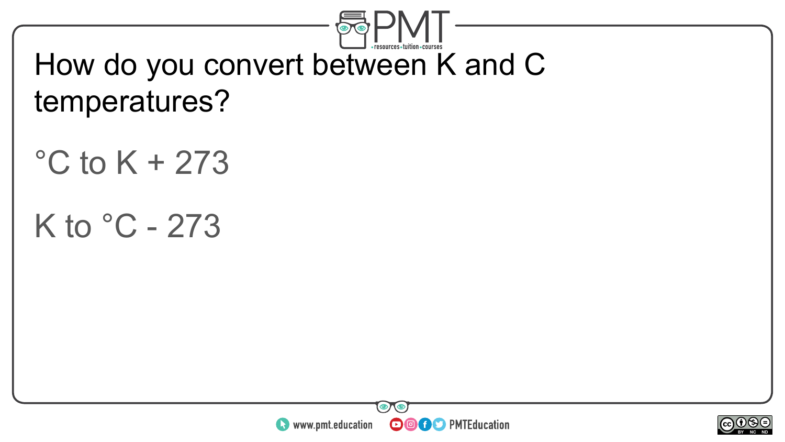

#### How do you convert between K and C temperatures?

#### $\degree$ C to K + 273

#### K to  $°C - 273$



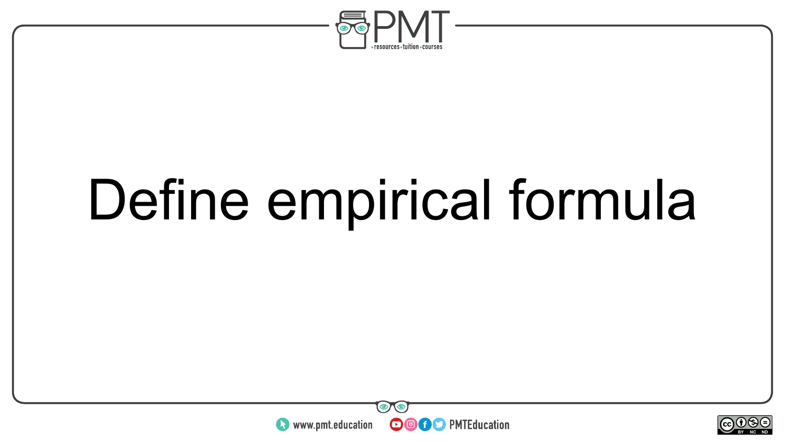

## Define empirical formula



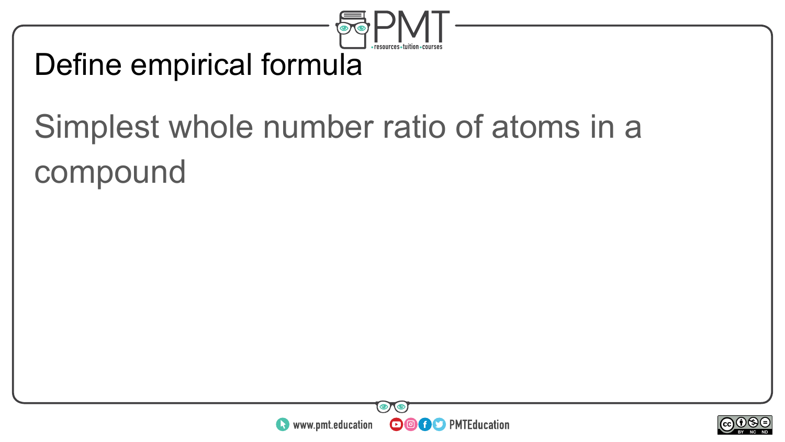

#### Define empirical formula

### Simplest whole number ratio of atoms in a compound



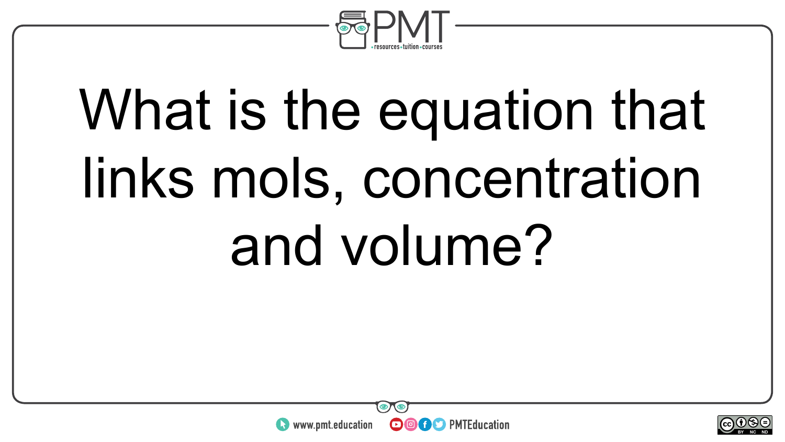

# What is the equation that links mols, concentration and volume?



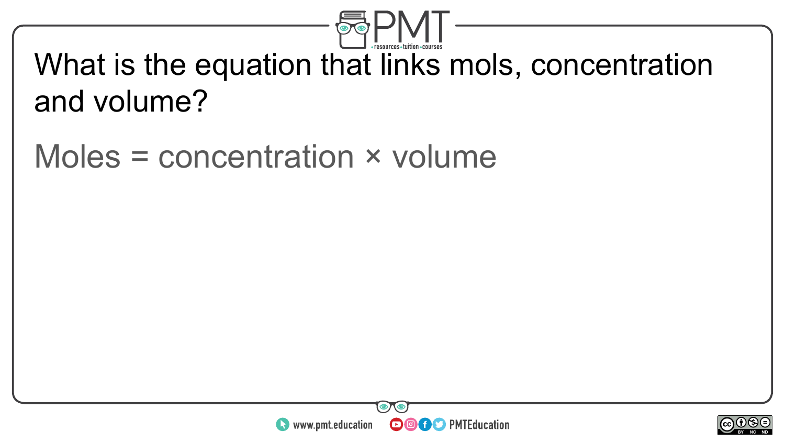

#### What is the equation that links mols, concentration and volume?

#### Moles = concentration × volume



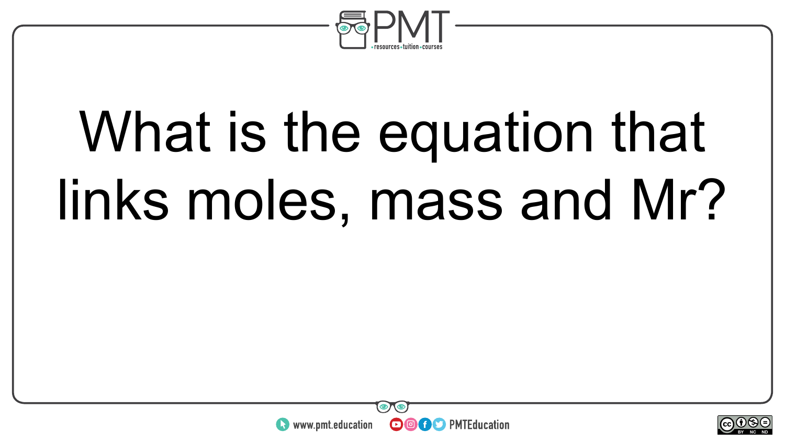

# What is the equation that links moles, mass and Mr?